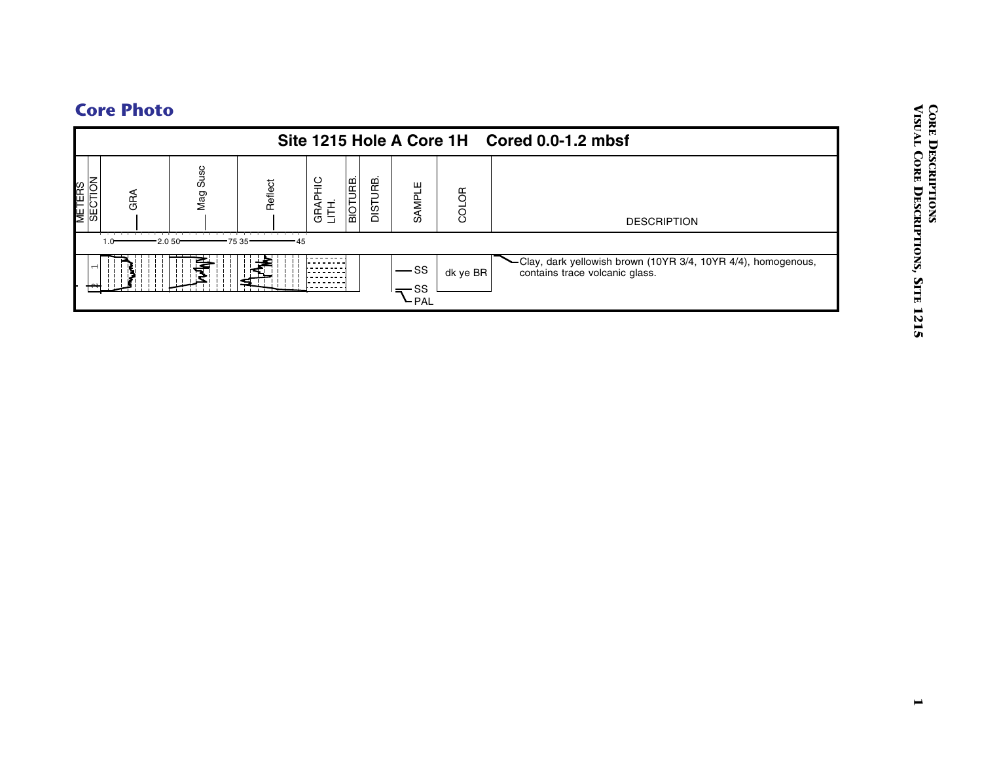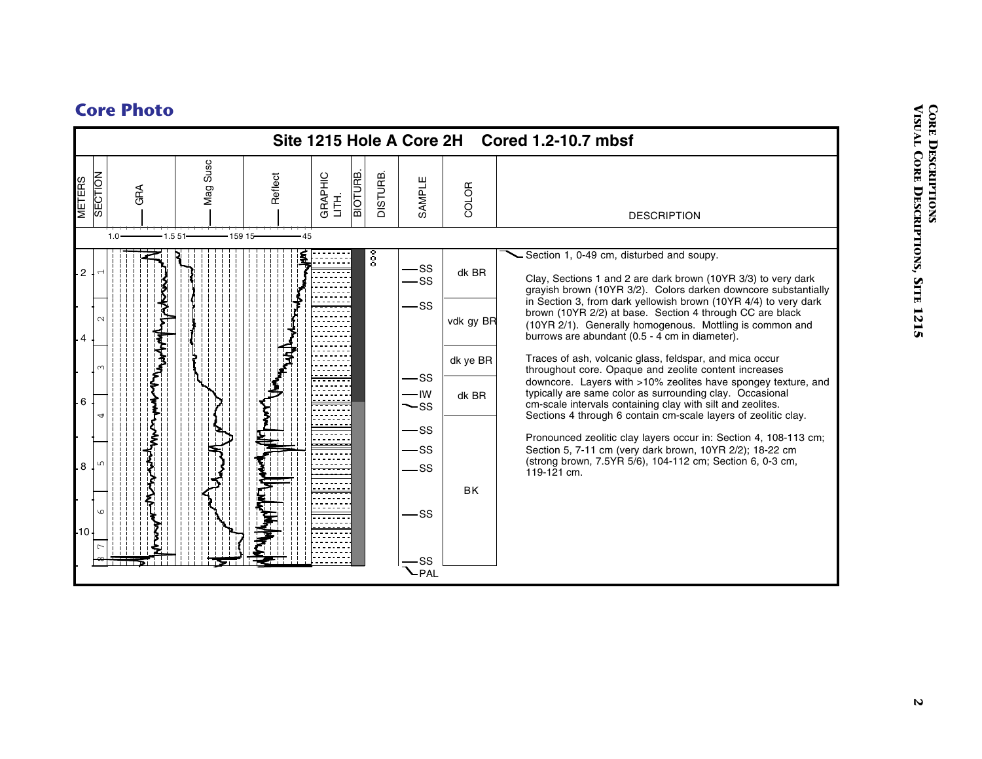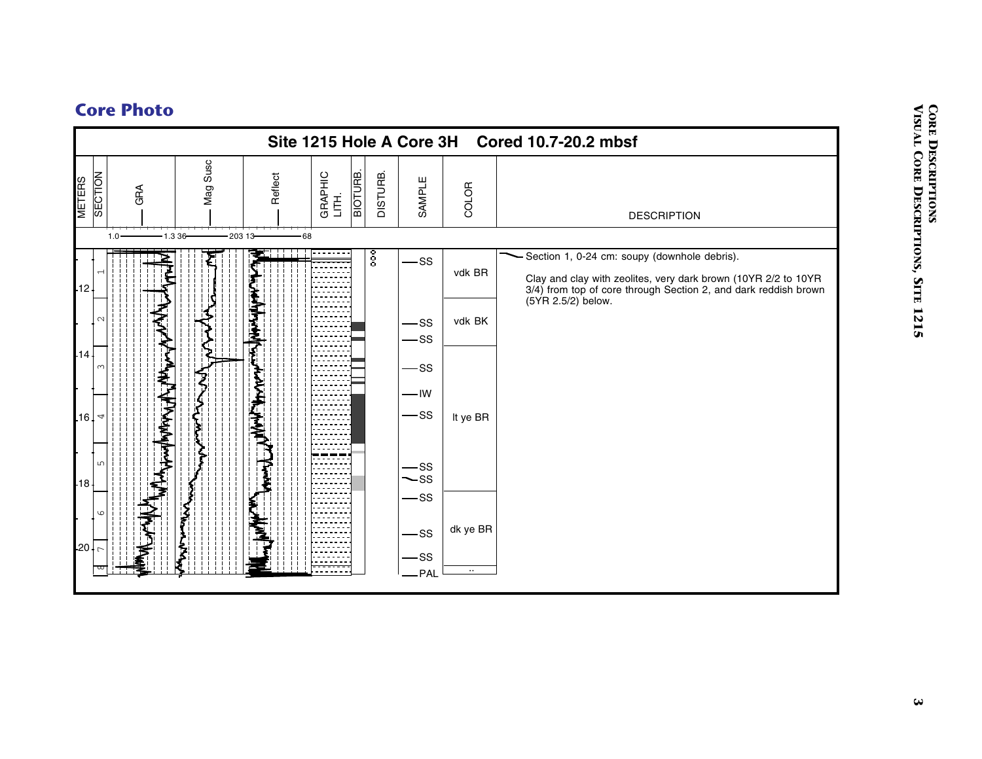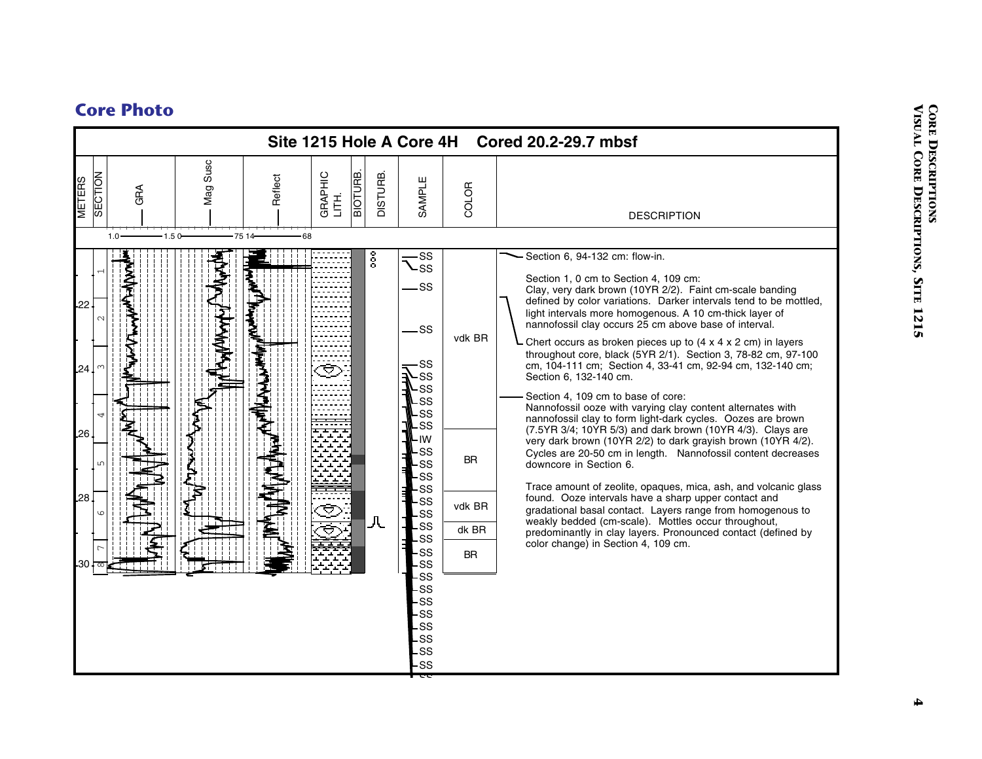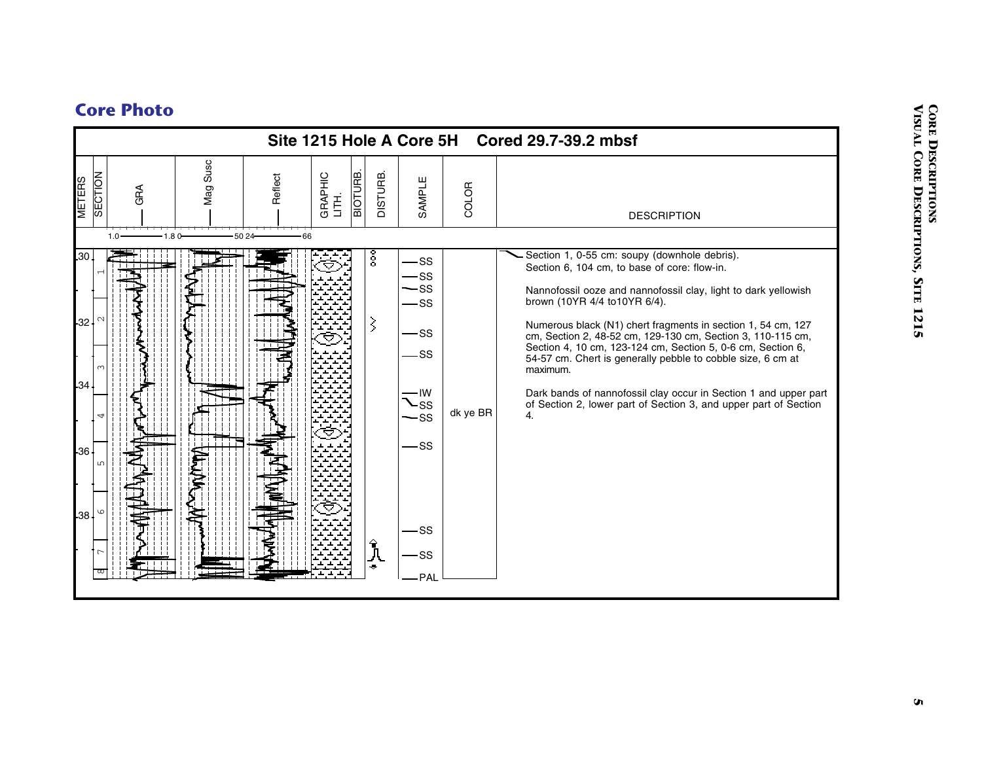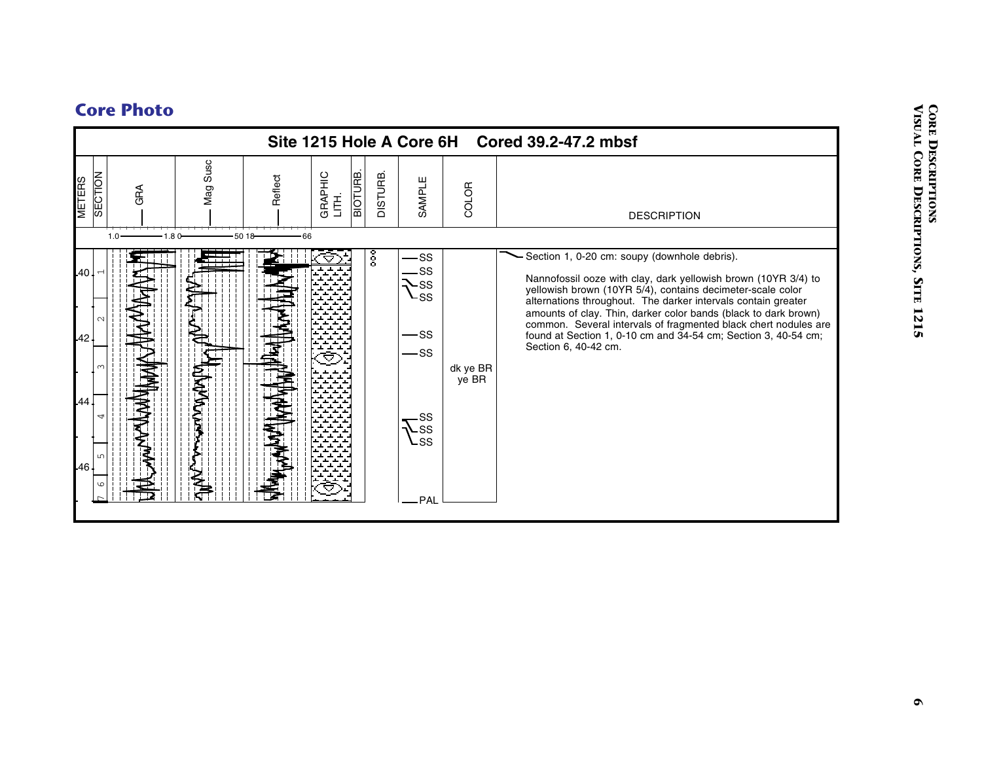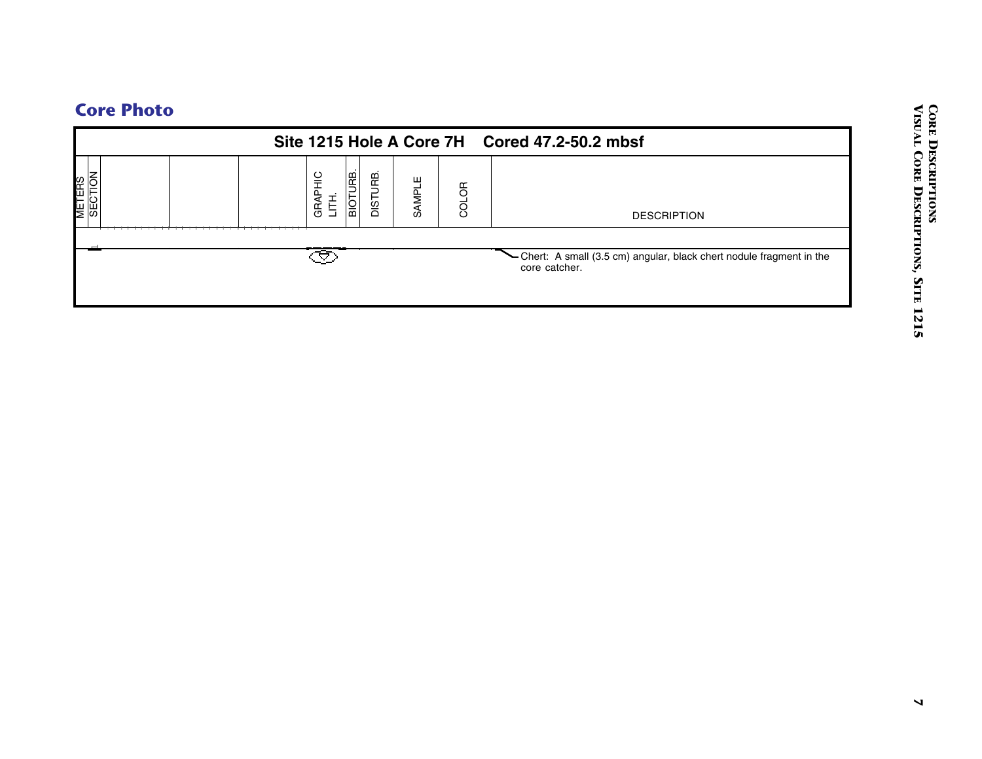|                   | Site 1215 Hole A Core 7H            |                    |       | Cored 47.2-50.2 mbsf                                                              |
|-------------------|-------------------------------------|--------------------|-------|-----------------------------------------------------------------------------------|
| METERS<br>SECTION | <b>BIOTURE.</b><br>GRAPHIC<br>LITH. | DISTURB.<br>SAMPLE | COLOR | <b>DESCRIPTION</b>                                                                |
|                   | Ø                                   |                    |       | Chert: A small (3.5 cm) angular, black chert nodule fragment in the core catcher. |
|                   |                                     |                    |       |                                                                                   |
|                   |                                     |                    |       |                                                                                   |
|                   |                                     |                    |       |                                                                                   |
|                   |                                     |                    |       |                                                                                   |
|                   |                                     |                    |       |                                                                                   |
|                   |                                     |                    |       |                                                                                   |
|                   |                                     |                    |       |                                                                                   |
|                   |                                     |                    |       |                                                                                   |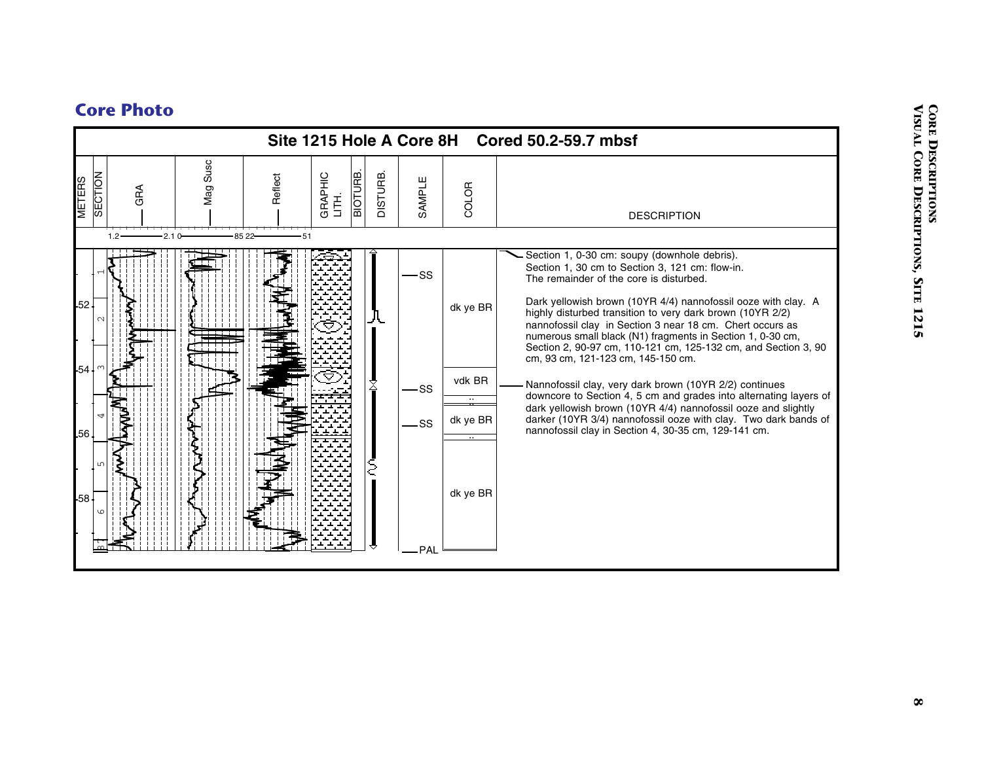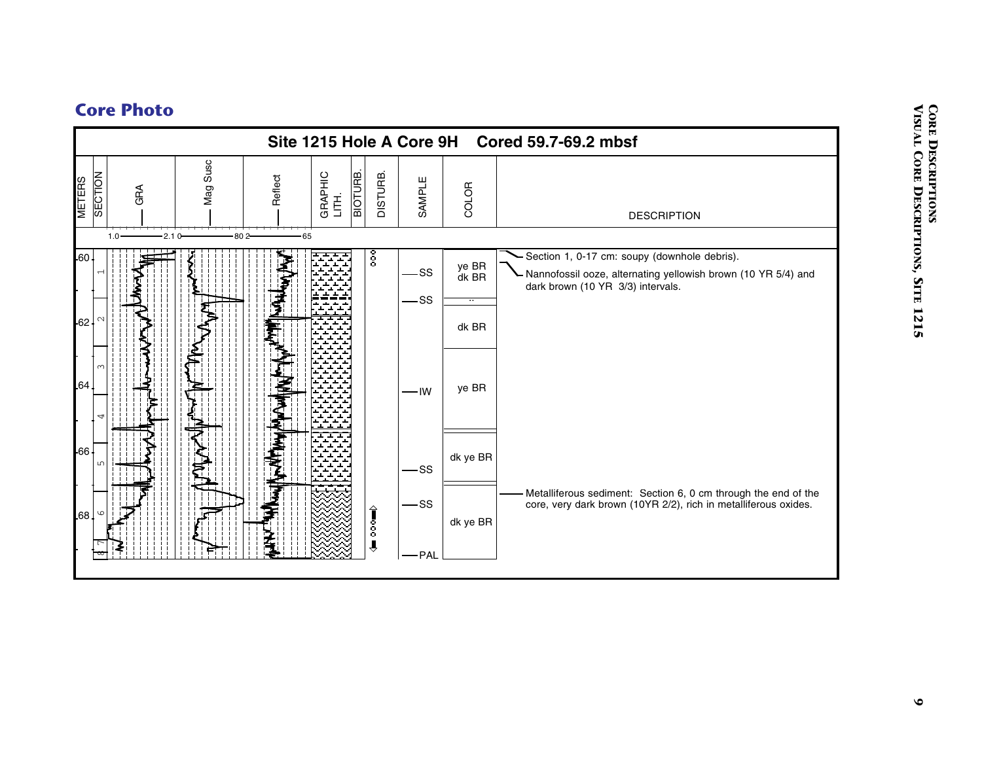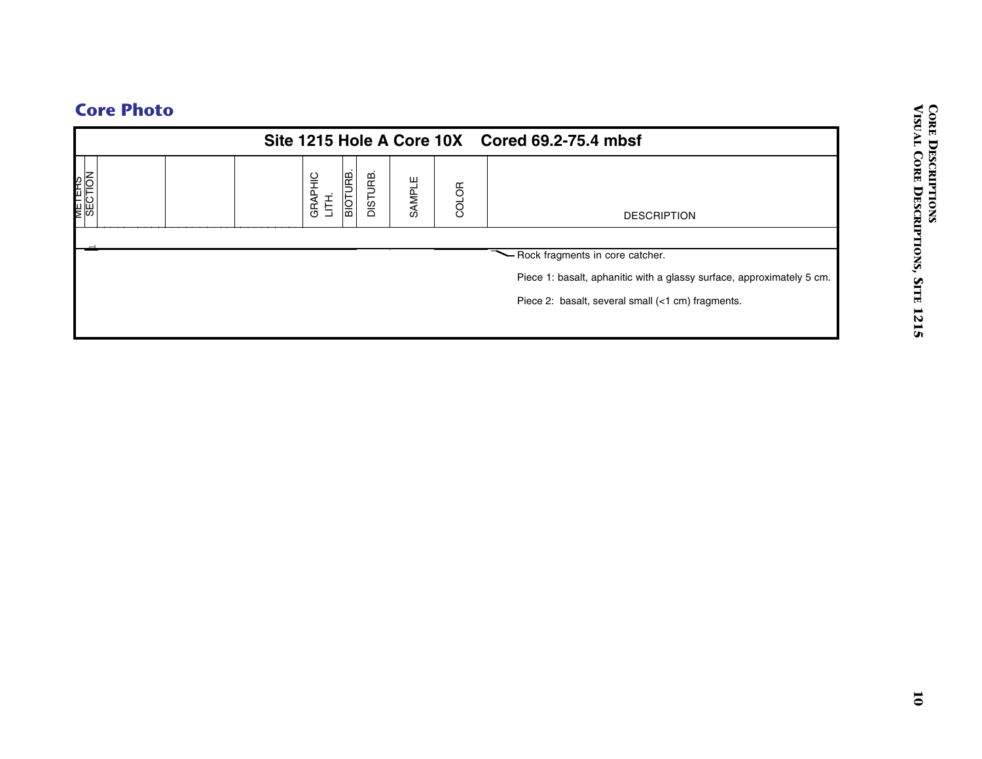|  | <b>Core Photo</b> |
|--|-------------------|

| <b>BIOTURB.</b><br>DISTURB.<br>METERS<br>SECTION<br>GRAPHIC<br>LITH.<br>SAMPLE<br>COLOR<br><b>DESCRIPTION</b><br>- Rock fragments in core catcher.<br>Piece 1: basalt, aphanitic with a glassy surface, approximately 5 cm.<br>Piece 2: basalt, several small (<1 cm) fragments. |
|----------------------------------------------------------------------------------------------------------------------------------------------------------------------------------------------------------------------------------------------------------------------------------|
|                                                                                                                                                                                                                                                                                  |
|                                                                                                                                                                                                                                                                                  |
|                                                                                                                                                                                                                                                                                  |
|                                                                                                                                                                                                                                                                                  |
|                                                                                                                                                                                                                                                                                  |
|                                                                                                                                                                                                                                                                                  |
|                                                                                                                                                                                                                                                                                  |
|                                                                                                                                                                                                                                                                                  |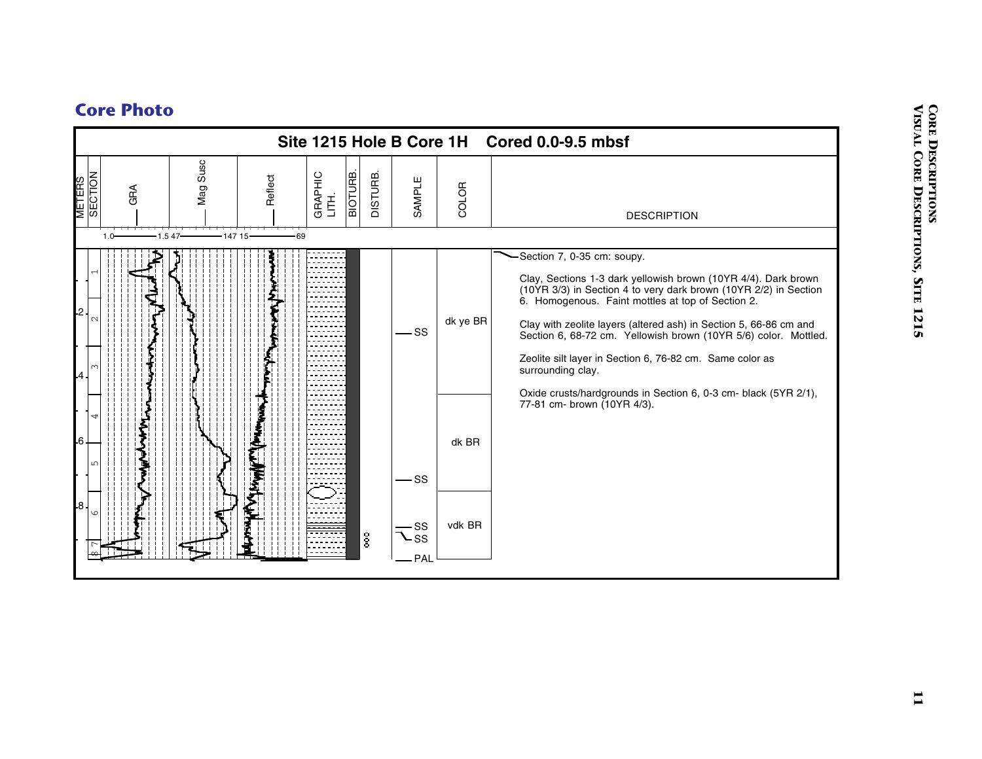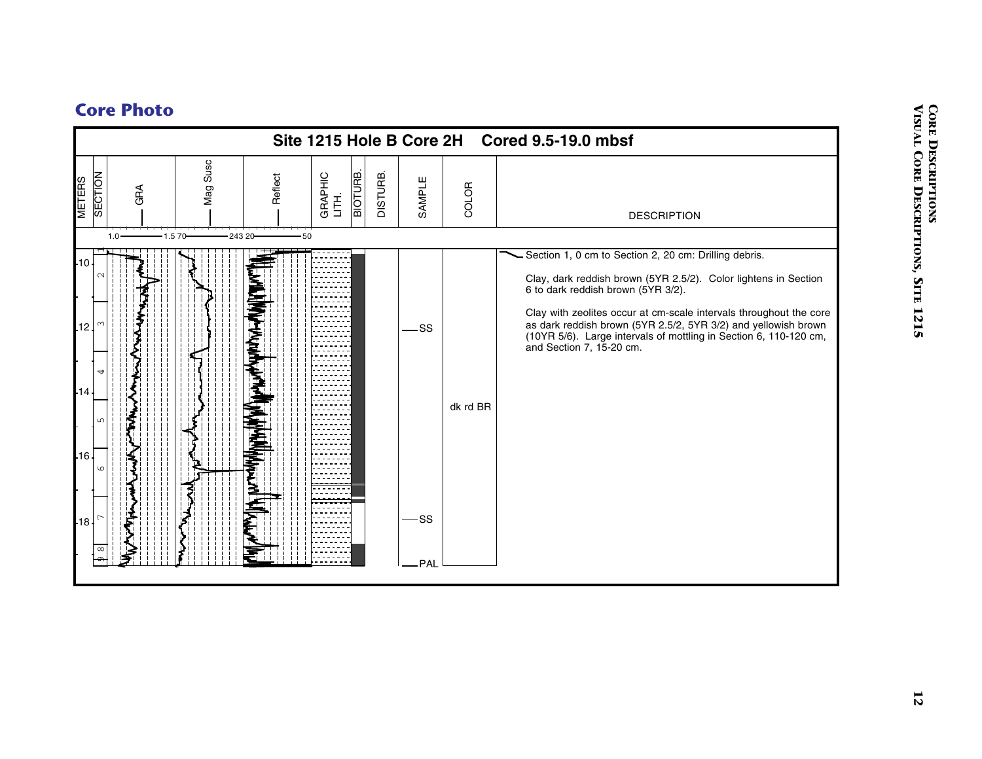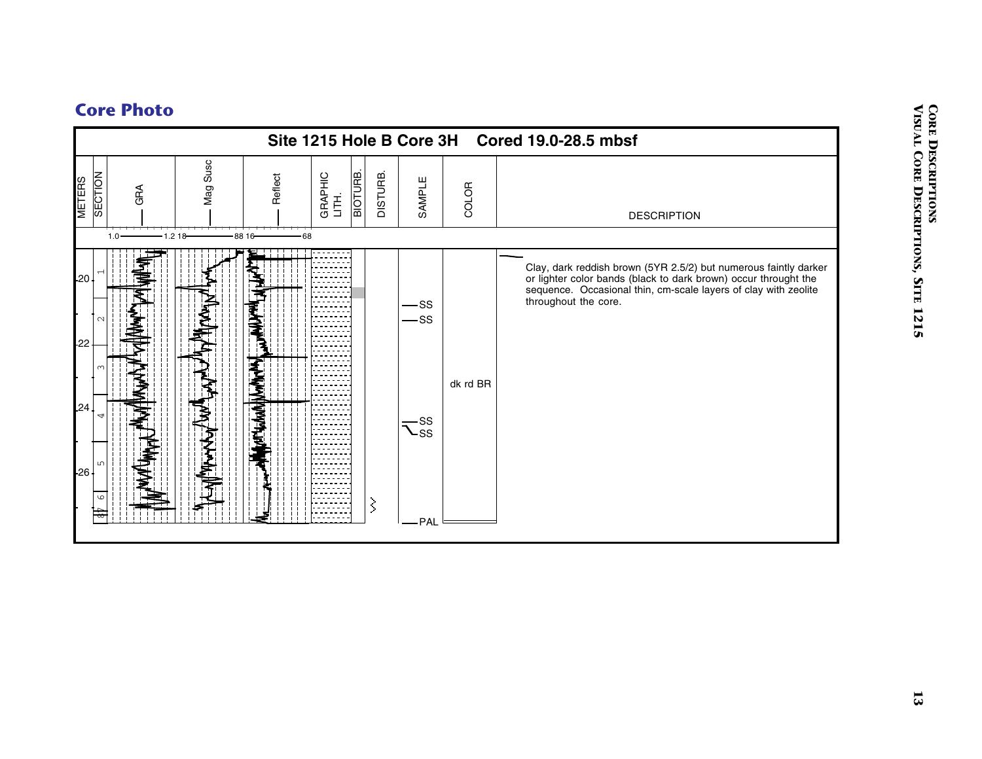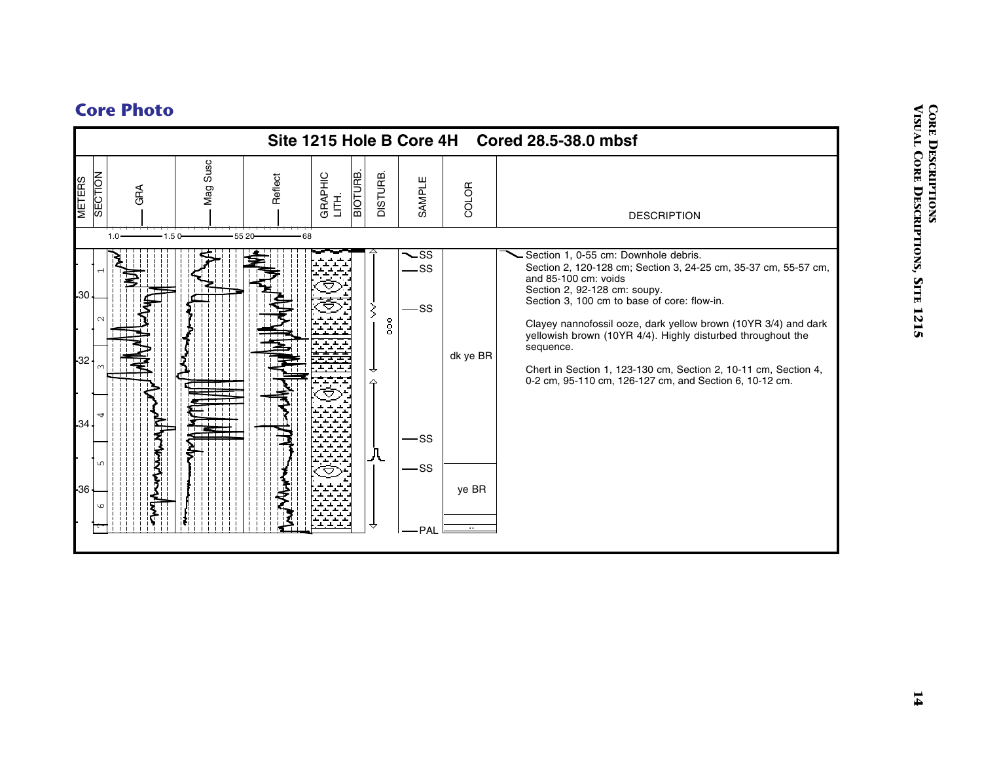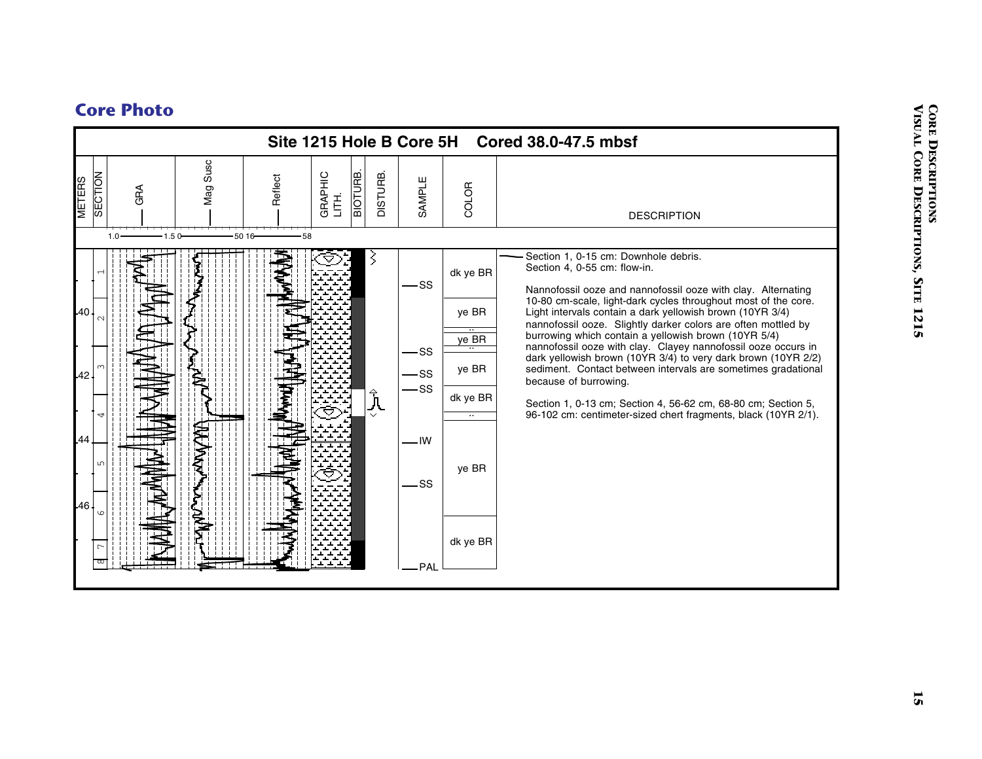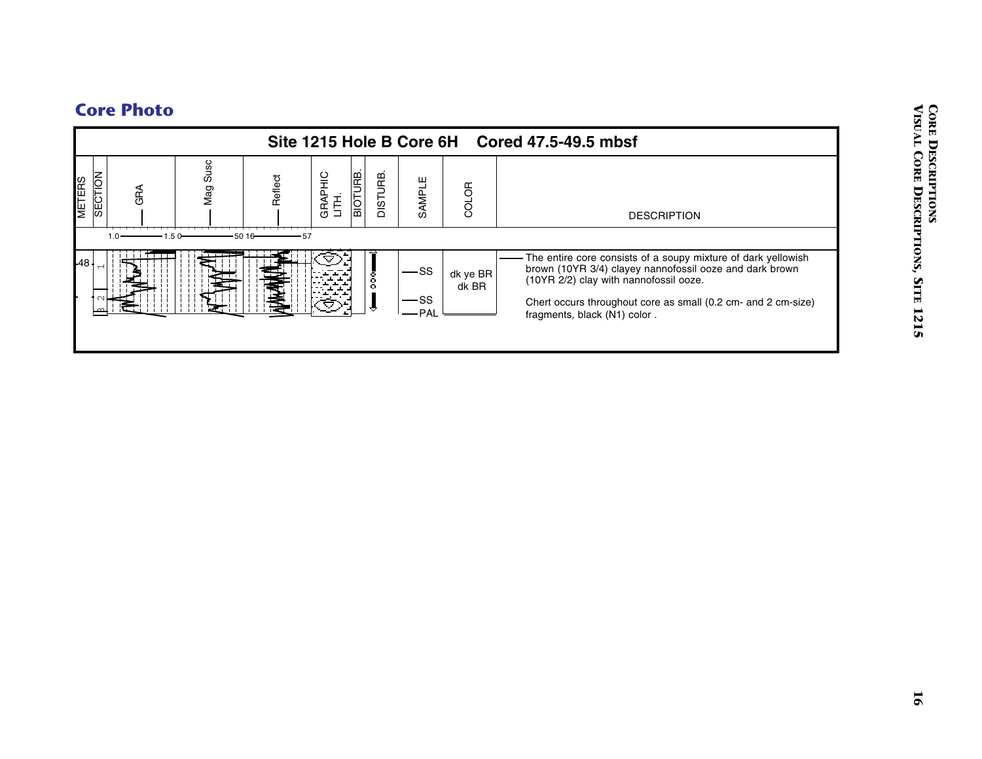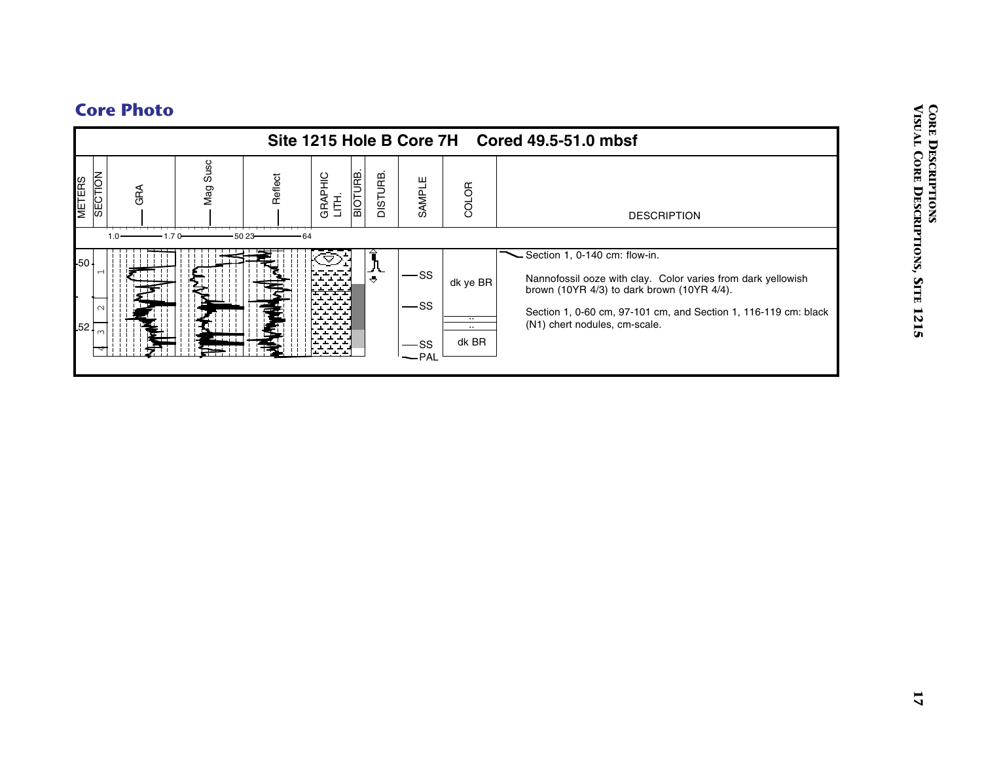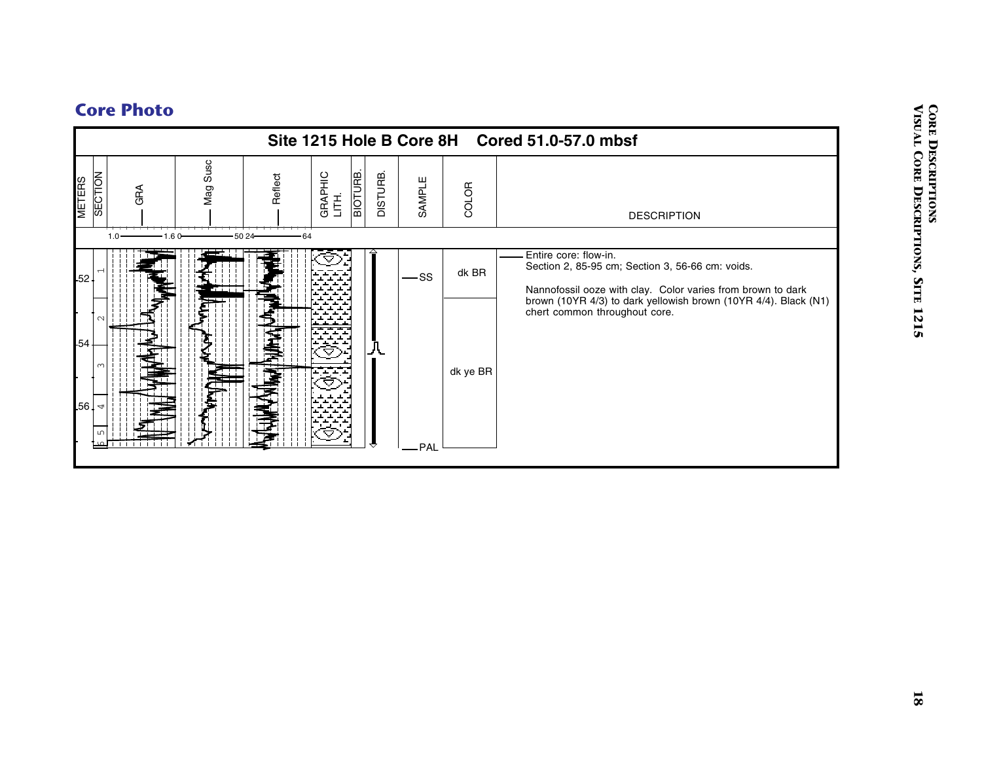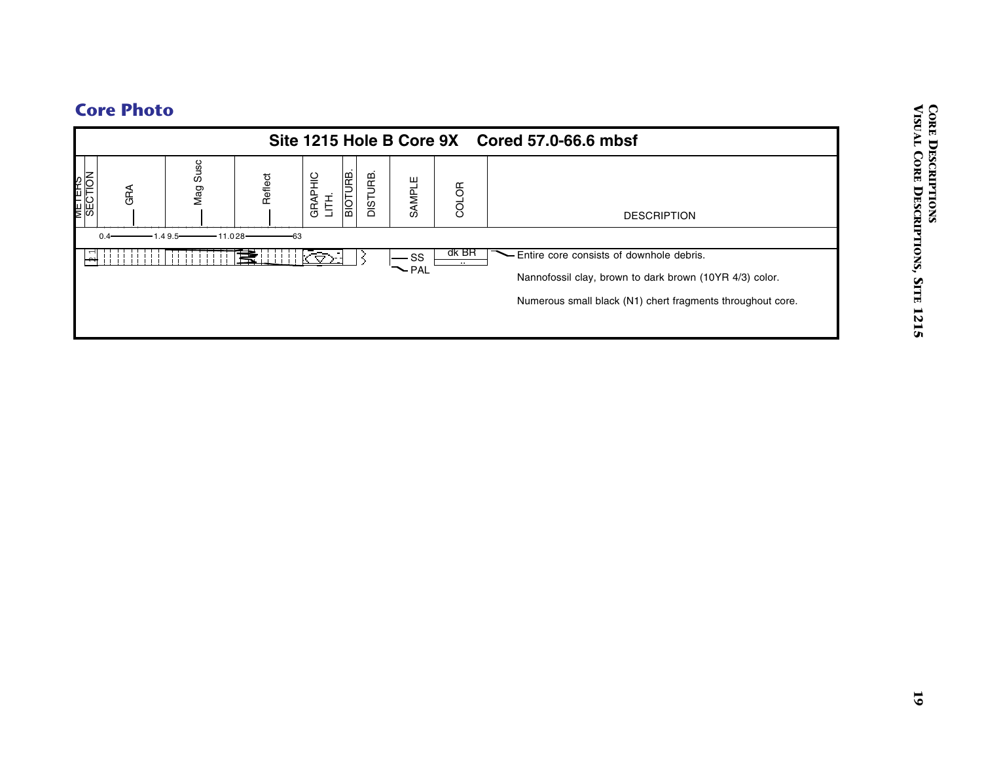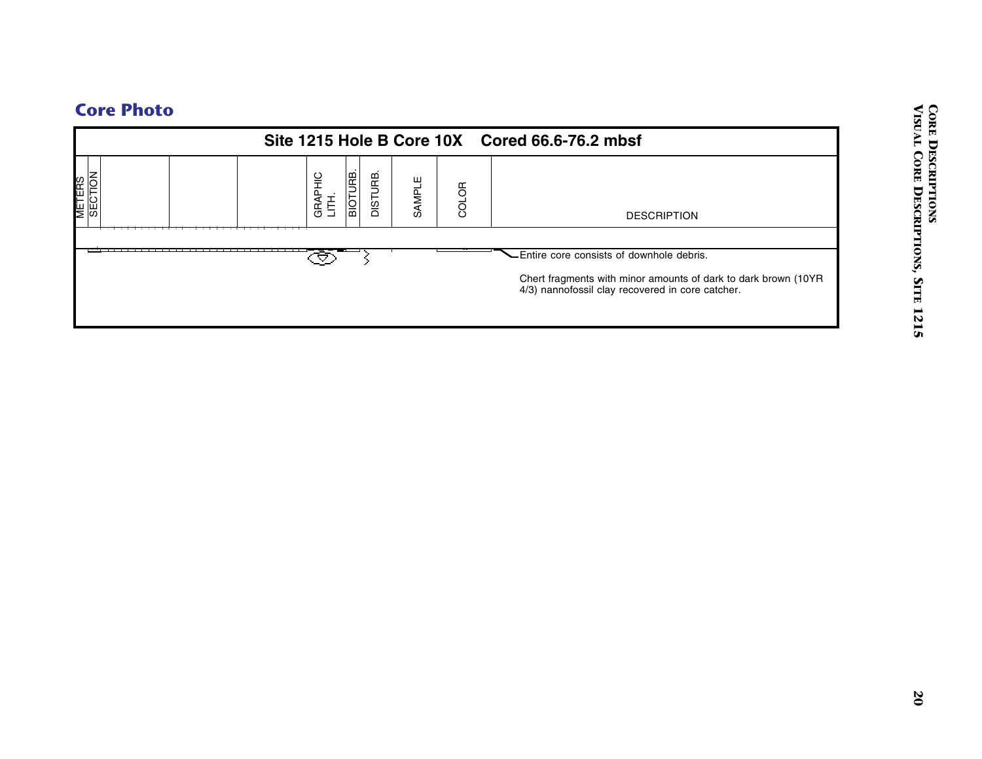|                   |                  |                             |        |       | Site 1215 Hole B Core 10X Cored 66.6-76.2 mbsf                                                                                                              |
|-------------------|------------------|-----------------------------|--------|-------|-------------------------------------------------------------------------------------------------------------------------------------------------------------|
| METERS<br>SECTION | GRAPHIC<br>LITH. | <b>BIOTURB.</b><br>DISTURB. | SAMPLE | COLOR | <b>DESCRIPTION</b>                                                                                                                                          |
|                   | ♋                | ⊰                           |        |       | Entire core consists of downhole debris.<br>Chert fragments with minor amounts of dark to dark brown (10YR 4/3) nannofossil clay recovered in core catcher. |
|                   |                  |                             |        |       |                                                                                                                                                             |
|                   |                  |                             |        |       |                                                                                                                                                             |
|                   |                  |                             |        |       |                                                                                                                                                             |
|                   |                  |                             |        |       |                                                                                                                                                             |
|                   |                  |                             |        |       |                                                                                                                                                             |
|                   |                  |                             |        |       |                                                                                                                                                             |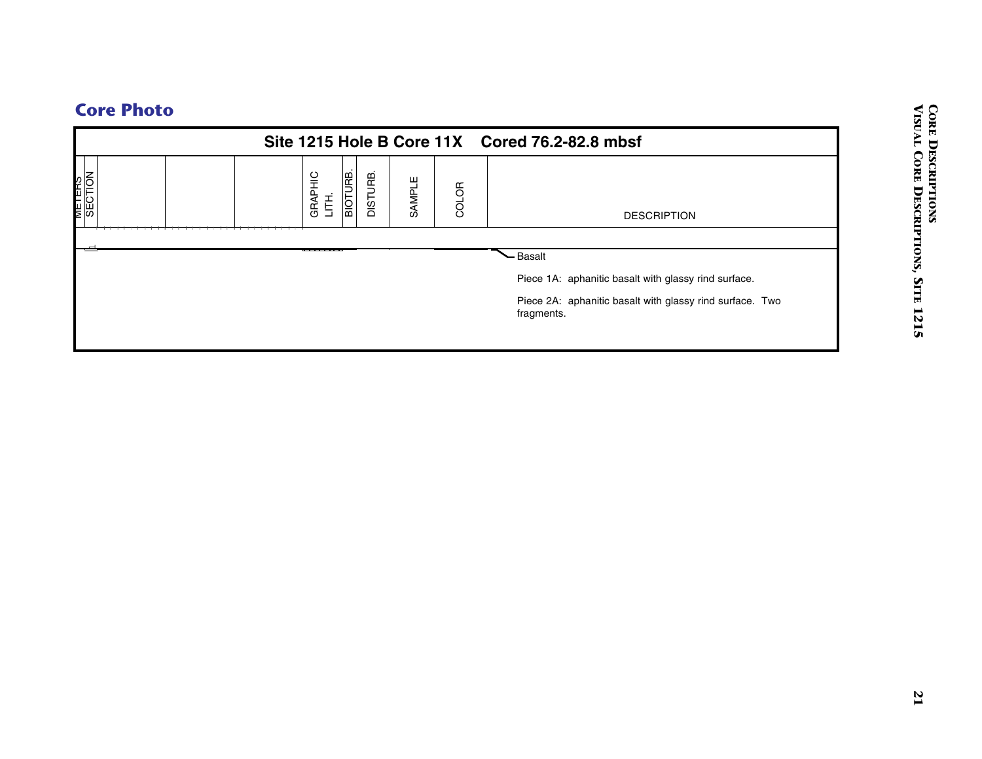|                   |                  |                             |        |       | Site 1215 Hole B Core 11X Cored 76.2-82.8 mbsf                         |
|-------------------|------------------|-----------------------------|--------|-------|------------------------------------------------------------------------|
| METERS<br>SECTION | GRAPHIC<br>LITH. | <b>BIOTURE.</b><br>DISTURB. | SAMPLE | COLOR | <b>DESCRIPTION</b>                                                     |
|                   |                  |                             |        |       |                                                                        |
|                   |                  |                             |        |       | Basalt<br>Piece 1A: aphanitic basalt with glassy rind surface.         |
|                   |                  |                             |        |       | Piece 2A: aphanitic basalt with glassy rind surface. Two<br>fragments. |
|                   |                  |                             |        |       |                                                                        |
|                   |                  |                             |        |       |                                                                        |
|                   |                  |                             |        |       |                                                                        |
|                   |                  |                             |        |       |                                                                        |
|                   |                  |                             |        |       |                                                                        |
|                   |                  |                             |        |       |                                                                        |
|                   |                  |                             |        |       |                                                                        |
|                   |                  |                             |        |       |                                                                        |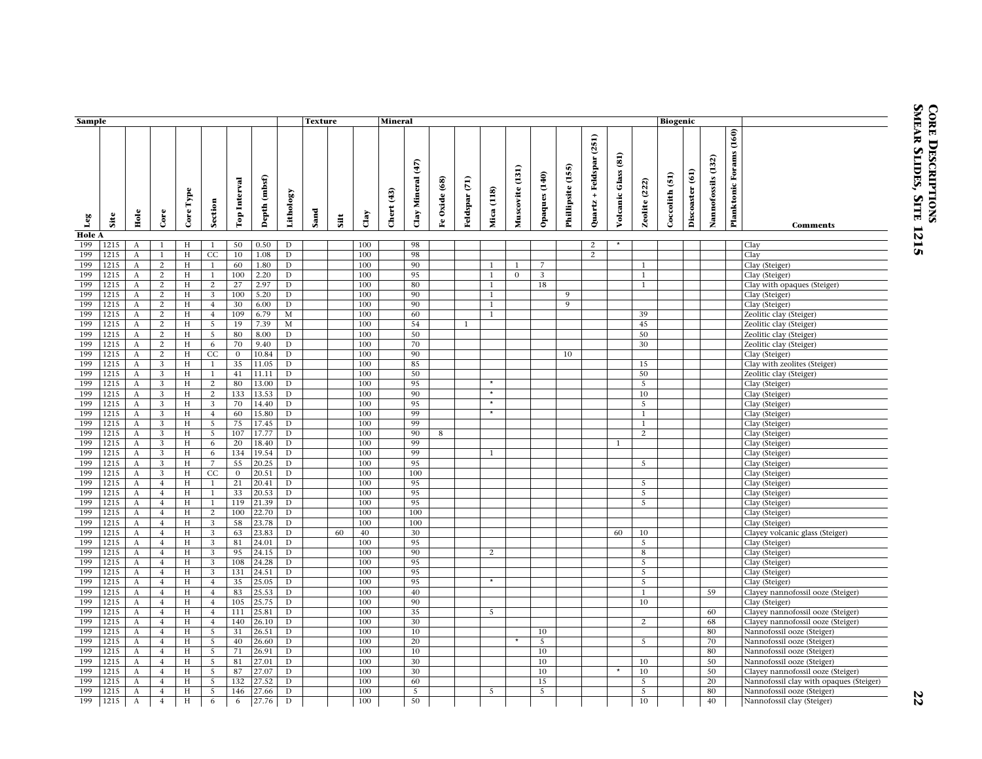| Sample               |      |                       |                |                                      |                 |                |                 | <b>Texture</b><br><b>Mineral</b> |      |      |      |                                                          |                   |                 |                         |                    |                 |                |                   |                                                     |                     |                  |                   |                            |                    |                                |                                                    |
|----------------------|------|-----------------------|----------------|--------------------------------------|-----------------|----------------|-----------------|----------------------------------|------|------|------|----------------------------------------------------------|-------------------|-----------------|-------------------------|--------------------|-----------------|----------------|-------------------|-----------------------------------------------------|---------------------|------------------|-------------------|----------------------------|--------------------|--------------------------------|----------------------------------------------------|
|                      |      |                       |                |                                      |                 |                |                 |                                  |      |      |      |                                                          |                   |                 |                         |                    |                 |                |                   |                                                     |                     |                  | <b>Biogenic</b>   |                            |                    |                                |                                                    |
| $_{\rm Leg}$         | Site | Hole                  | Core           | $\mathbf{Type}$<br>Core <sup>:</sup> | Section         | Top Interval   | (mbsf)<br>Depth | Lithology                        | Sand | Sitt | Clay | $\begin{array}{c} \n \textbf{3} \n \end{array}$<br>Chert | Clay Mineral (47) | Oxide (68)<br>٩ | $\tilde{E}$<br>Feldspar | (118)<br>Mica      | Muscovite (131) | Opaques (140)  | Phillipsite (155) | (251)<br>Feldspar<br>$\ddot{\phantom{1}}$<br>Quartz | Volcanic Glass (81) | (222)<br>Zeolite | (51)<br>Coccolith | $\mathbf{G}$<br>Discoaster | Nannofossils (132) | <b>Planktonic Forams (160)</b> | <b>Comments</b>                                    |
| <b>Hole A</b><br>199 | 1215 | A                     | $\mathbf{1}$   | H                                    | 1               | 50             | 0.50            | D                                |      |      | 100  |                                                          | 98                |                 |                         |                    |                 |                |                   | 2                                                   |                     |                  |                   |                            |                    |                                | Clay                                               |
| 199                  | 1215 | A                     | $\mathbf{1}$   | H                                    | CC              | 10             | 1.08            | $\mathbf D$                      |      |      | 100  |                                                          | 98                |                 |                         |                    |                 |                |                   | 2                                                   |                     |                  |                   |                            |                    |                                | Clay                                               |
| 199                  | 1215 | A                     | $\mathbf{2}$   | H                                    | 1               | 60             | 1.80            | D                                |      |      | 100  |                                                          | 90                |                 |                         |                    | $\mathbf{1}$    | $\overline{7}$ |                   |                                                     |                     | $\mathbf{1}$     |                   |                            |                    |                                | Clay (Steiger)                                     |
| 199                  | 1215 | A                     | 2              | H                                    | <sup>1</sup>    | 100            | 2.20            | D                                |      |      | 100  |                                                          | 95                |                 |                         | 1                  | $\overline{0}$  | 3              |                   |                                                     |                     | -1               |                   |                            |                    |                                | Clay (Steiger)                                     |
| 199                  | 1215 | A                     | 2              | H                                    | 2               | 27             | 2.97            | D                                |      |      | 100  |                                                          | 80                |                 |                         | 1                  |                 | 18             |                   |                                                     |                     | 1                |                   |                            |                    |                                | Clay with opaques (Steiger)                        |
| 199                  | 1215 | A                     | 2              | H                                    | 3               | 100            | 5.20            | D                                |      |      | 100  |                                                          | 90                |                 |                         | $\mathbf{1}$       |                 |                | 9                 |                                                     |                     |                  |                   |                            |                    |                                | Clay (Steiger)                                     |
| 199                  | 1215 | A                     | 2              | $\,$ H                               | $\overline{4}$  | 30             | 6.00            | $\overline{D}$                   |      |      | 100  |                                                          | 90                |                 |                         | $\mathbf{1}$       |                 |                | $\overline{9}$    |                                                     |                     |                  |                   |                            |                    |                                | Clay (Steiger)                                     |
| 199                  | 1215 |                       | $\mathbf{2}$   | H                                    | $\overline{4}$  | 109            | 6.79            | $\mathbf M$                      |      |      | 100  |                                                          | 60                |                 |                         | $\mathbf{1}$       |                 |                |                   |                                                     |                     | 39               |                   |                            |                    |                                |                                                    |
| 199                  | 1215 | A<br>$\boldsymbol{A}$ | $\mathbf{2}$   | $\,$ H                               | $\overline{5}$  | 19             | 7.39            | $\mathbf M$                      |      |      | 100  |                                                          | 54                |                 | $\mathbf{1}$            |                    |                 |                |                   |                                                     |                     | 45               |                   |                            |                    |                                | Zeolitic clay (Steiger)<br>Zeolitic clay (Steiger) |
| 199                  | 1215 | $\boldsymbol{A}$      | $\mathbf{2}$   | H                                    | $5\phantom{.0}$ | 80             | 8.00            | D                                |      |      | 100  |                                                          | 50                |                 |                         |                    |                 |                |                   |                                                     |                     | 50               |                   |                            |                    |                                |                                                    |
| 199                  | 1215 | $\boldsymbol{A}$      | 2              | H                                    | 6               | 70             | 9.40            | $\mathbf D$                      |      |      | 100  |                                                          | 70                |                 |                         |                    |                 |                |                   |                                                     |                     | 30               |                   |                            |                    |                                | Zeolitic clay (Steiger)                            |
| 199                  |      |                       |                |                                      |                 |                |                 |                                  |      |      |      |                                                          | 90                |                 |                         |                    |                 |                |                   |                                                     |                     |                  |                   |                            |                    |                                | Zeolitic clay (Steiger)                            |
|                      | 1215 | A                     | 2              | H                                    | CC              | $\overline{0}$ | 10.84           | D                                |      |      | 100  |                                                          |                   |                 |                         |                    |                 |                | 10                |                                                     |                     |                  |                   |                            |                    |                                | Clay (Steiger)                                     |
| 199                  | 1215 | A                     | 3              | H                                    | <sup>1</sup>    | 35             | 11.05           | D                                |      |      | 100  |                                                          | 85                |                 |                         |                    |                 |                |                   |                                                     |                     | 15               |                   |                            |                    |                                | Clay with zeolites (Steiger)                       |
| 199                  | 1215 | A                     | 3              | H                                    | $\mathbf{1}$    | 41             | 11.11           | D                                |      |      | 100  |                                                          | 50                |                 |                         |                    |                 |                |                   |                                                     |                     | 50               |                   |                            |                    |                                | Zeolitic clay (Steiger)                            |
| 199                  | 1215 | A                     | 3              | H                                    | $\overline{2}$  | 80             | 13.00           | D                                |      |      | 100  |                                                          | 95                |                 |                         | $\overline{\cdot}$ |                 |                |                   |                                                     |                     | 5                |                   |                            |                    |                                | Clay (Steiger)                                     |
| 199                  | 1215 | $\boldsymbol{A}$      | 3              | H                                    | $\overline{2}$  | 133            | 13.53           | D                                |      |      | 100  |                                                          | 90                |                 |                         |                    |                 |                |                   |                                                     |                     | 10               |                   |                            |                    |                                | Clay (Steiger)                                     |
| 199                  | 1215 | A                     | 3              | H                                    | $\overline{3}$  | 70             | 14.40           | D                                |      |      | 100  |                                                          | 95                |                 |                         | $\star$            |                 |                |                   |                                                     |                     | 5                |                   |                            |                    |                                | Clay (Steiger)                                     |
| 199                  | 1215 | A                     | 3              | H                                    | $\overline{4}$  | 60             | 15.80           | $\mathbf D$                      |      |      | 100  |                                                          | 99                |                 |                         | $\star$            |                 |                |                   |                                                     |                     | 1                |                   |                            |                    |                                | Clay (Steiger)                                     |
| 199                  | 1215 | $\mathbf{A}$          | 3              | H                                    | 5               | 75             | 17.45           | D                                |      |      | 100  |                                                          | 99                |                 |                         |                    |                 |                |                   |                                                     |                     | $\mathbf{1}$     |                   |                            |                    |                                | Clay (Steiger)                                     |
| 199                  | 1215 | $\boldsymbol{A}$      | 3              | $\,$ H                               | $\overline{5}$  | 107            | 17.77           | D                                |      |      | 100  |                                                          | 90                | 8               |                         |                    |                 |                |                   |                                                     |                     | 2                |                   |                            |                    |                                | Clay (Steiger)                                     |
| 199                  | 1215 | A                     | 3              | H                                    | 6               | 20             | 18.40           | $\mathbf D$                      |      |      | 100  |                                                          | 99                |                 |                         |                    |                 |                |                   |                                                     | $\mathbf{1}$        |                  |                   |                            |                    |                                | Clay (Steiger)                                     |
| 199                  | 1215 | A                     | 3              | H                                    | 6               | 134            | 19.54           | $\mathbf D$                      |      |      | 100  |                                                          | 99                |                 |                         | $\mathbf{1}$       |                 |                |                   |                                                     |                     |                  |                   |                            |                    |                                | Clay (Steiger)                                     |
| 199                  | 1215 | A                     | 3              | H                                    | $\overline{7}$  | 55             | 20.25           | $\mathbf D$                      |      |      | 100  |                                                          | 95                |                 |                         |                    |                 |                |                   |                                                     |                     | $5\overline{5}$  |                   |                            |                    |                                | Clay (Steiger)                                     |
| 199                  | 1215 | A                     | 3              | H                                    | CC              | $\overline{0}$ | 20.51           | D                                |      |      | 100  |                                                          | 100               |                 |                         |                    |                 |                |                   |                                                     |                     |                  |                   |                            |                    |                                | Clay (Steiger)                                     |
| 199                  | 1215 | A                     | $\overline{4}$ | H                                    | <sup>1</sup>    | 21             | 20.41           | D                                |      |      | 100  |                                                          | 95                |                 |                         |                    |                 |                |                   |                                                     |                     | -5               |                   |                            |                    |                                | Clay (Steiger)                                     |
| 199                  | 1215 | A                     | $\overline{4}$ | H                                    | 1               | 33             | 20.53           | D                                |      |      | 100  |                                                          | 95                |                 |                         |                    |                 |                |                   |                                                     |                     | 5                |                   |                            |                    |                                | Clay (Steiger)                                     |
| 199                  | 1215 | A                     | $\overline{4}$ | H                                    | -1              | 119            | 21.39           | D                                |      |      | 100  |                                                          | 95                |                 |                         |                    |                 |                |                   |                                                     |                     | 5                |                   |                            |                    |                                | Clay (Steiger)                                     |
| 199                  | 1215 | A                     | $\overline{4}$ | $\,$ H                               | $\overline{2}$  | 100            | 22.70           | $\mathbf D$                      |      |      | 100  |                                                          | 100               |                 |                         |                    |                 |                |                   |                                                     |                     |                  |                   |                            |                    |                                | Clay (Steiger)                                     |
| 199                  | 1215 | A                     | $\overline{4}$ | $\,$ H                               | 3               | 58             | 23.78           | D                                |      |      | 100  |                                                          | 100               |                 |                         |                    |                 |                |                   |                                                     |                     |                  |                   |                            |                    |                                | Clay (Steiger)                                     |
| 199                  | 1215 | A                     | $\overline{4}$ | H                                    | 3               | 63             | 23.83           | $\mathbf D$                      |      | 60   | 40   |                                                          | 30                |                 |                         |                    |                 |                |                   |                                                     | 60                  | 10               |                   |                            |                    |                                | Clayey volcanic glass (Steiger)                    |
| 199                  | 1215 | A                     | $\overline{4}$ | H                                    | 3               | 81             | 24.01           | D                                |      |      | 100  |                                                          | 95                |                 |                         |                    |                 |                |                   |                                                     |                     | 5                |                   |                            |                    |                                | Clay (Steiger)                                     |
| 199                  | 1215 | $\boldsymbol{A}$      | $\overline{4}$ | H                                    | 3               | 95             | 24.15           | $\mathbf D$                      |      |      | 100  |                                                          | 90                |                 |                         | 2                  |                 |                |                   |                                                     |                     | 8                |                   |                            |                    |                                | Clay (Steiger)                                     |
| 199                  | 1215 | A                     | $\overline{4}$ | H                                    | 3               | 108            | 24.28           | D                                |      |      | 100  |                                                          | 95                |                 |                         |                    |                 |                |                   |                                                     |                     | 5                |                   |                            |                    |                                | Clay (Steiger)                                     |
| 199                  | 1215 | A                     | $\overline{4}$ | H                                    | $\mathbf{3}$    | 131            | 24.51           | D                                |      |      | 100  |                                                          | 95                |                 |                         |                    |                 |                |                   |                                                     |                     | -5               |                   |                            |                    |                                | Clay (Steiger)                                     |
| 199                  | 1215 | $\mathbf{A}$          | $\overline{4}$ | H                                    | $\overline{4}$  | 35             | 25.05           | D                                |      |      | 100  |                                                          | 95                |                 |                         | $\overline{\cdot}$ |                 |                |                   |                                                     |                     | $5\overline{5}$  |                   |                            |                    |                                | Clay (Steiger)                                     |
| 199                  | 1215 | A                     | $\overline{4}$ | $\,$ H                               | $\overline{4}$  | 83             | 25.53           | $\mathbf D$                      |      |      | 100  |                                                          | 40                |                 |                         |                    |                 |                |                   |                                                     |                     | 1                |                   |                            | 59                 |                                | Clayey nannofossil ooze (Steiger)                  |
| 199                  | 1215 | $\boldsymbol{A}$      | $\overline{4}$ | $\,$ H                               | $\overline{4}$  | 105            | 25.75           | D                                |      |      | 100  |                                                          | 90                |                 |                         |                    |                 |                |                   |                                                     |                     | 10               |                   |                            |                    |                                | Clay (Steiger)                                     |
| 199                  | 1215 | $\boldsymbol{A}$      | $\overline{4}$ | $\,$ H                               | $\overline{4}$  | 111            | 25.81           | $\mathbf D$                      |      |      | 100  |                                                          | 35                |                 |                         | 5                  |                 |                |                   |                                                     |                     |                  |                   |                            | 60                 |                                | Clayey nannofossil ooze (Steiger)                  |
| 199                  | 1215 | $\boldsymbol{A}$      | $\overline{4}$ | $\,$ H                               | $\overline{4}$  | 140            | 26.10           | $\mathbf D$                      |      |      | 100  |                                                          | 30                |                 |                         |                    |                 |                |                   |                                                     |                     | 2                |                   |                            | 68                 |                                | Clayey nannofossil ooze (Steiger)                  |
| 199                  | 1215 | A                     | $\overline{4}$ | H                                    | 5               | 31             | 26.51           | D                                |      |      | 100  |                                                          | 10                |                 |                         |                    |                 | 10             |                   |                                                     |                     |                  |                   |                            | 80                 |                                | Nannofossil ooze (Steiger)                         |
| 199                  | 1215 | $\boldsymbol{A}$      | $\overline{4}$ | H                                    | -5              | 40             | 26.60           | D                                |      |      | 100  |                                                          | 20                |                 |                         |                    | $\star$         | 5              |                   |                                                     |                     | $5\overline{5}$  |                   |                            | 70                 |                                | Nannofossil ooze (Steiger)                         |
| 199                  | 1215 | A                     | $\overline{4}$ | H                                    | $\overline{5}$  | 71             | 26.91           | D                                |      |      | 100  |                                                          | 10                |                 |                         |                    |                 | 10             |                   |                                                     |                     |                  |                   |                            | 80                 |                                | Nannofossil ooze (Steiger)                         |
| 199                  | 1215 | A                     | $\overline{4}$ | H                                    | 5               | 81             | 27.01           | D                                |      |      | 100  |                                                          | 30                |                 |                         |                    |                 | 10             |                   |                                                     |                     | 10               |                   |                            | 50                 |                                | Nannofossil ooze (Steiger)                         |
| 199                  | 1215 | A                     | $\overline{4}$ | H                                    | $\overline{5}$  | 87             | 27.07           | $\mathbf D$                      |      |      | 100  |                                                          | 30                |                 |                         |                    |                 | 10             |                   |                                                     | $\star$             | 10               |                   |                            | 50                 |                                | Clayey nannofossil ooze (Steiger)                  |
| 199                  | 1215 |                       | $\overline{4}$ | H                                    | 5               | 132            | 27.52           | D                                |      |      | 100  |                                                          | 60                |                 |                         |                    |                 | 15             |                   |                                                     |                     | 5                |                   |                            | 20                 |                                |                                                    |
| 199                  | 1215 | A<br>А                | $\overline{4}$ | H                                    | $\overline{5}$  | 146            | 27.66           | $\mathbf D$                      |      |      | 100  |                                                          | 5                 |                 |                         | 5                  |                 | 5              |                   |                                                     |                     | 5                |                   |                            | 80                 |                                | Nannofossil clay with opaques (Steiger)            |
|                      |      |                       |                |                                      |                 |                |                 |                                  |      |      |      |                                                          |                   |                 |                         |                    |                 |                |                   |                                                     |                     |                  |                   |                            |                    |                                | Nannofossil ooze (Steiger)                         |
| 199                  | 1215 | $\boldsymbol{A}$      | $\overline{4}$ | H                                    | 6               | 6              | 27.76           | $\mathbf D$                      |      |      | 100  |                                                          | 50                |                 |                         |                    |                 |                |                   |                                                     |                     | 10               |                   |                            | 40                 |                                | Nannofossil clay (Steiger)                         |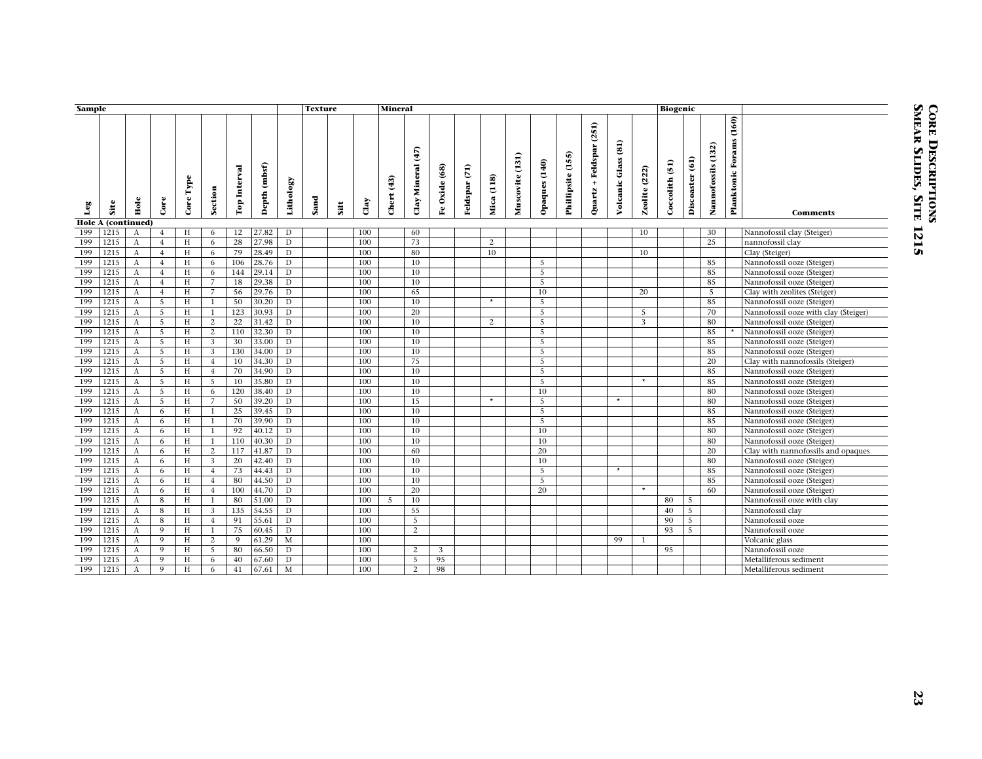|              | Sample |                           |                |            |                |              |                            |                | <b>Texture</b><br><b>Mineral</b> |      |             |                   |                   |               |               |               |                 |                 |                   |                            |                                  |               | <b>Biogenic</b> |                 |                    |                                |                                      |
|--------------|--------|---------------------------|----------------|------------|----------------|--------------|----------------------------|----------------|----------------------------------|------|-------------|-------------------|-------------------|---------------|---------------|---------------|-----------------|-----------------|-------------------|----------------------------|----------------------------------|---------------|-----------------|-----------------|--------------------|--------------------------------|--------------------------------------|
| $_{\rm Leg}$ | Site   | Hole                      | $C$ ore        | Core Type  | Section        | Top Interval | (mbsf)<br>$\mathbf{Depth}$ | Lithology      | Sand                             | Silt | $\alpha$ ay | <b>Chert</b> (43) | Clay Mineral (47) | Fe Oxide (68) | Feldspar (71) | (118)<br>Mica | Muscovite (131) | Opaques (140)   | Phillipsite (155) | + Feldspar (251)<br>Quartz | $\overline{a}$<br>Volcanic Glass | Zeolite (222) | Coccolith (51)  | Discoaster (61) | Nannofossils (132) | <b>Planktonic Forams</b> (160) | <b>Comments</b>                      |
|              |        | <b>Hole A (continued)</b> |                |            |                |              |                            |                |                                  |      |             |                   |                   |               |               |               |                 |                 |                   |                            |                                  |               |                 |                 |                    |                                |                                      |
| 199          | 1215   | A                         | $\overline{4}$ | H          | 6              | 12           | 27.82                      | D              |                                  |      | 100         |                   | 60                |               |               |               |                 |                 |                   |                            |                                  | 10            |                 |                 | 30                 |                                | Nannofossil clay (Steiger)           |
| 199          | 1215   | A                         | $\overline{4}$ | H          | 6              | 28           | 27.98                      | D              |                                  |      | 100         |                   | 73                |               |               | 2             |                 |                 |                   |                            |                                  |               |                 |                 | 25                 |                                | nannofossil clay                     |
| 199          | 1215   | $\boldsymbol{A}$          | $\overline{4}$ | H          | 6              | 79           | 28.49                      | $\mathbf{D}$   |                                  |      | 100         |                   | 80                |               |               | 10            |                 |                 |                   |                            |                                  | 10            |                 |                 |                    |                                | Clay (Steiger)                       |
| 199          | 1215   | A                         | $\overline{4}$ | H          | 6              | 106          | 28.76                      | $\overline{D}$ |                                  |      | 100         |                   | 10                |               |               |               |                 | 5               |                   |                            |                                  |               |                 |                 | 85                 |                                | Nannofossil ooze (Steiger)           |
| 199          | 1215   | $\boldsymbol{A}$          | $\overline{4}$ | H          | 6              | 144          | 29.14                      | D              |                                  |      | 100         |                   | 10                |               |               |               |                 | 5               |                   |                            |                                  |               |                 |                 | 85                 |                                | Nannofossil ooze (Steiger)           |
| 199          | 1215   | A                         | $\bf{4}$       | H          | $\overline{7}$ | 18           | 29.38                      | D              |                                  |      | 100         |                   | 10                |               |               |               |                 | 5               |                   |                            |                                  |               |                 |                 | 85                 |                                | Nannofossil ooze (Steiger)           |
| 199          | 1215   | $\boldsymbol{A}$          | $\overline{4}$ | H          | $\overline{7}$ | 56           | 29.76                      | $\mathbf{D}$   |                                  |      | 100         |                   | 65                |               |               |               |                 | 10              |                   |                            |                                  | 20            |                 |                 | 5                  |                                | Clay with zeolites (Steiger)         |
| 199          | 1215   | $\boldsymbol{A}$          | $\overline{5}$ | H          | $\mathbf{1}$   | 50           | 30.20                      | D              |                                  |      | 100         |                   | 10                |               |               | $\star$       |                 | 5               |                   |                            |                                  |               |                 |                 | 85                 |                                | Nannofossil ooze (Steiger)           |
| 199          | 1215   | $\boldsymbol{A}$          | 5              | H          | $\mathbf{1}$   | 123          | 30.93                      | D              |                                  |      | 100         |                   | 20                |               |               |               |                 | 5               |                   |                            |                                  | 5             |                 |                 | 70                 |                                | Nannofossil ooze with clay (Steiger) |
| 199          | 1215   | $\mathbf{A}$              | 5              | H          | $\overline{2}$ | 22           | 31.42                      | D              |                                  |      | 100         |                   | 10                |               |               | 2             |                 | 5               |                   |                            |                                  | 3             |                 |                 | 80                 |                                | Nannofossil ooze (Steiger)           |
| 199          | 1215   | A                         | 5              | H          | 2              | 110          | 32.30                      | D              |                                  |      | 100         |                   | 10                |               |               |               |                 | $5\overline{5}$ |                   |                            |                                  |               |                 |                 | 85                 |                                | Nannofossil ooze (Steiger)           |
| 199          | 1215   | $\mathbf{A}$              | 5              | H          | 3              | 30           | 33.00                      | D              |                                  |      | 100         |                   | 10                |               |               |               |                 | $\overline{5}$  |                   |                            |                                  |               |                 |                 | 85                 |                                | Nannofossil ooze (Steiger)           |
| 199          | 1215   | $\mathbf{A}$              | $\overline{5}$ | H          | 3              | 130          | 34.00                      | D              |                                  |      | 100         |                   | 10                |               |               |               |                 | 5               |                   |                            |                                  |               |                 |                 | 85                 |                                | Nannofossil ooze (Steiger)           |
| 199          | 1215   | $\boldsymbol{A}$          | $\overline{5}$ | H          | $\overline{4}$ | 10           | 34.30                      | $\mathbf{D}$   |                                  |      | 100         |                   | 75                |               |               |               |                 | 5               |                   |                            |                                  |               |                 |                 | 20                 |                                | Clay with nannofossils (Steiger)     |
| 199          | 1215   | $\boldsymbol{A}$          | 5              | H          | $\overline{4}$ | 70           | 34.90                      | $\mathbf{D}$   |                                  |      | 100         |                   | 10                |               |               |               |                 | $\overline{5}$  |                   |                            |                                  |               |                 |                 | 85                 |                                | Nannofossil ooze (Steiger)           |
| 199          | 1215   | $\boldsymbol{A}$          | 5              | H          | 5              | 10           | 35.80                      | D              |                                  |      | 100         |                   | 10                |               |               |               |                 | 5               |                   |                            |                                  | $\star$       |                 |                 | 85                 |                                | Nannofossil ooze (Steiger)           |
| 199          | 1215   | $\mathbf{A}$              | $\overline{5}$ | H          | 6              | 120          | 38.40                      | D              |                                  |      | 100         |                   | 10                |               |               |               |                 | 10              |                   |                            |                                  |               |                 |                 | 80                 |                                | Nannofossil ooze (Steiger)           |
| 199          | 1215   | $\boldsymbol{A}$          | 5              | H          | $\overline{7}$ | 50           | 39.20                      | D              |                                  |      | 100         |                   | 15                |               |               | $\star$       |                 | $5\overline{5}$ |                   |                            | $\star$                          |               |                 |                 | 80                 |                                | Nannofossil ooze (Steiger)           |
| 199          | 1215   | $\boldsymbol{A}$          | 6              | H          | $\mathbf{1}$   | 25           | 39.45                      | D              |                                  |      | 100         |                   | 10                |               |               |               |                 | $\overline{5}$  |                   |                            |                                  |               |                 |                 | 85                 |                                | Nannofossil ooze (Steiger)           |
| 199          | 1215   | $\mathbf{A}$              | 6              | H          | 1              | 70           | 39.90                      | D              |                                  |      | 100         |                   | 10                |               |               |               |                 | $5\overline{5}$ |                   |                            |                                  |               |                 |                 | 85                 |                                | Nannofossil ooze (Steiger)           |
| 199          | 1215   | $\boldsymbol{A}$          | 6              | H          | $\mathbf{1}$   | 92           | 40.12                      | D              |                                  |      | 100         |                   | 10                |               |               |               |                 | 10              |                   |                            |                                  |               |                 |                 | 80                 |                                | Nannofossil ooze (Steiger)           |
| 199          | 1215   | $\mathbf{A}$              | 6              | H          | $\mathbf{1}$   | 110          | 40.30                      | D              |                                  |      | 100         |                   | 10                |               |               |               |                 | 10              |                   |                            |                                  |               |                 |                 | 80                 |                                | Nannofossil ooze (Steiger)           |
| 199          | 1215   | $\boldsymbol{A}$          | 6              | $_{\rm H}$ | $\overline{2}$ | 117          | 41.87                      | $\overline{D}$ |                                  |      | 100         |                   | 60                |               |               |               |                 | $\overline{20}$ |                   |                            |                                  |               |                 |                 | $\overline{20}$    |                                | Clay with nannofossils and opaques   |
| 199          | 1215   | A                         | 6              | H          | 3              | 20           | 42.40                      | D              |                                  |      | 100         |                   | 10                |               |               |               |                 | 10              |                   |                            |                                  |               |                 |                 | 80                 |                                | Nannofossil ooze (Steiger)           |
| 199          | 1215   | $\boldsymbol{A}$          | 6              | H          | $\overline{4}$ | 73           | 44.43                      | D              |                                  |      | 100         |                   | 10                |               |               |               |                 | 5               |                   |                            | $\star$                          |               |                 |                 | 85                 |                                | Nannofossil ooze (Steiger)           |
| 199          | 1215   | $\boldsymbol{A}$          | 6              | H          | $\overline{4}$ | 80           | 44.50                      | D              |                                  |      | 100         |                   | 10                |               |               |               |                 | 5               |                   |                            |                                  |               |                 |                 | 85                 |                                | Nannofossil ooze (Steiger)           |
| 199          | 1215   | $\mathbf{A}$              | 6              | H          | $\overline{4}$ | 100          | 44.70                      | D              |                                  |      | 100         |                   | 20                |               |               |               |                 | 20              |                   |                            |                                  | $\star$       |                 |                 | 60                 |                                | Nannofossil ooze (Steiger)           |
| 199          | 1215   | $\boldsymbol{A}$          | 8              | H          | $\mathbf{1}$   | 80           | 51.00                      | D              |                                  |      | 100         | 5                 | 10                |               |               |               |                 |                 |                   |                            |                                  |               | 80              | $\overline{5}$  |                    |                                | Nannofossil ooze with clay           |
| 199          | 1215   | A                         | 8              | H          | 3              | 135          | 54.55                      | D              |                                  |      | 100         |                   | 55                |               |               |               |                 |                 |                   |                            |                                  |               | 40              | $5\overline{5}$ |                    |                                | Nannofossil clay                     |
| 199          | 1215   | $\boldsymbol{A}$          | $\bf8$         | H          | $\overline{4}$ | 91           | 55.61                      | D              |                                  |      | 100         |                   | 5                 |               |               |               |                 |                 |                   |                            |                                  |               | 90              | $\overline{5}$  |                    |                                | Nannofossil ooze                     |
| 199          | 1215   | $\mathbf{A}$              | 9              | H          | 1              | 75           | 60.45                      | D              |                                  |      | 100         |                   | 2                 |               |               |               |                 |                 |                   |                            |                                  |               | 93              | 5               |                    |                                | Nannofossil ooze                     |
| 199          | 1215   | $\boldsymbol{A}$          | 9              | H          | $\overline{2}$ | 9            | 61.29                      | M              |                                  |      | 100         |                   |                   |               |               |               |                 |                 |                   |                            | 99                               | 1             |                 |                 |                    |                                | Volcanic glass                       |
| 199          | 1215   | A                         | 9              | H          | $\overline{5}$ | 80           | 66.50                      | D              |                                  |      | 100         |                   | $\overline{c}$    | 3             |               |               |                 |                 |                   |                            |                                  |               | 95              |                 |                    |                                | Nannofossil ooze                     |
| 199          | 1215   | $\boldsymbol{A}$          | $\overline{9}$ | $\rm H$    | 6              | 40           | 67.60                      | $\mathbf D$    |                                  |      | 100         |                   | $\overline{5}$    | 95            |               |               |                 |                 |                   |                            |                                  |               |                 |                 |                    |                                | Metalliferous sediment               |
| 199          | 1215   | $\boldsymbol{A}$          | 9              | H          | 6              | 41           | 67.61                      | M              |                                  |      | 100         |                   | $\mathbf{2}$      | 98            |               |               |                 |                 |                   |                            |                                  |               |                 |                 |                    |                                | Metalliferous sediment               |